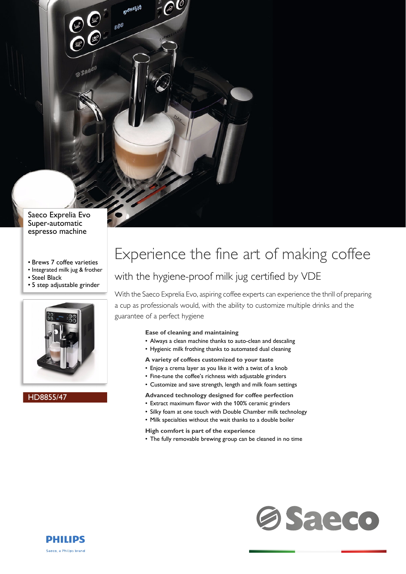Saeco Exprelia Evo Super-automatic espresso machine

 $\mathcal{P}^{\emptyset}$ 

- Brews 7 coffee varieties
- Integrated milk jug & frother
- Steel Black
- 5 step adjustable grinder



HD8855/47

# Experience the fine art of making coffee

### with the hygiene-proof milk jug certified by VDE

With the Saeco Exprelia Evo, aspiring coffee experts can experience the thrill of preparing a cup as professionals would, with the ability to customize multiple drinks and the guarantee of a perfect hygiene

### **Ease of cleaning and maintaining**

- Always a clean machine thanks to auto-clean and descaling
- Hygienic milk frothing thanks to automated dual cleaning
- **A variety of coffees customized to your taste**
- Enjoy a crema layer as you like it with a twist of a knob
- Fine-tune the coffee's richness with adjustable grinders
- Customize and save strength, length and milk foam settings

### **Advanced technology designed for coffee perfection**

- Extract maximum flavor with the 100% ceramic grinders
- Silky foam at one touch with Double Chamber milk technology
- Milk specialties without the wait thanks to a double boiler
- **High comfort is part of the experience**
- The fully removable brewing group can be cleaned in no time



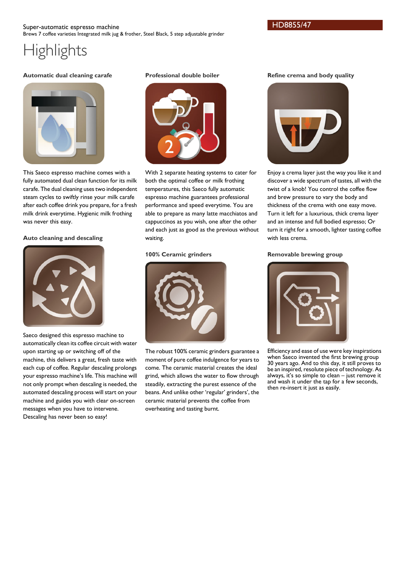### **Automatic dual cleaning carafe**



This Saeco espresso machine comes with a fully automated dual clean function for its milk carafe. The dual cleaning uses two independent steam cycles to swiftly rinse your milk carafe after each coffee drink you prepare, for a fresh milk drink everytime. Hygienic milk frothing was never this easy.

### **Auto cleaning and descaling**



Saeco designed this espresso machine to automatically clean its coffee circuit with water upon starting up or switching off of the machine, this delivers a great, fresh taste with each cup of coffee. Regular descaling prolongs your espresso machine's life. This machine will not only prompt when descaling is needed, the automated descaling process will start on your machine and guides you with clear on-screen messages when you have to intervene. Descaling has never been so easy!

### **Professional double boiler**



With 2 separate heating systems to cater for both the optimal coffee or milk frothing temperatures, this Saeco fully automatic espresso machine guarantees professional performance and speed everytime. You are able to prepare as many latte macchiatos and cappuccinos as you wish, one after the other and each just as good as the previous without waiting.

### **100% Ceramic grinders**



The robust 100% ceramic grinders guarantee a moment of pure coffee indulgence for years to come. The ceramic material creates the ideal grind, which allows the water to flow through steadily, extracting the purest essence of the beans. And unlike other 'regular' grinders', the ceramic material prevents the coffee from overheating and tasting burnt.

### **Refine crema and body quality**



Enjoy a crema layer just the way you like it and discover a wide spectrum of tastes, all with the twist of a knob! You control the coffee flow and brew pressure to vary the body and thickness of the crema with one easy move. Turn it left for a luxurious, thick crema layer and an intense and full bodied espresso; Or turn it right for a smooth, lighter tasting coffee with less crema.

### **Removable brewing group**



Efficiency and ease of use were key inspirations when Saeco invented the first brewing group 30 years ago. And to this day, it still proves to be an inspired, resolute piece of technology. As always, it's so simple to clean – just remove it and wash it under the tap for a few seconds, then re-insert it just as easily.